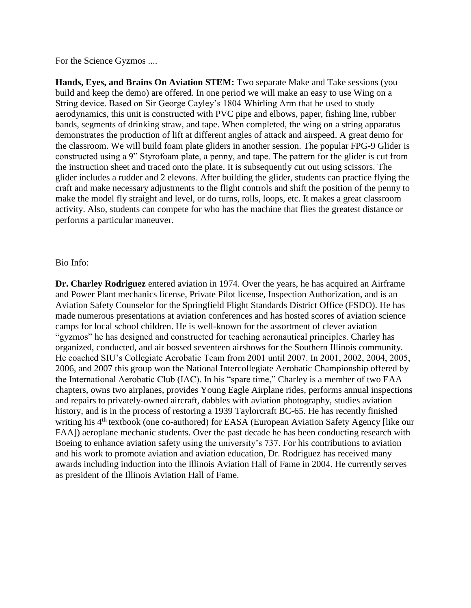For the Science Gyzmos ....

**Hands, Eyes, and Brains On Aviation STEM:** Two separate Make and Take sessions (you build and keep the demo) are offered. In one period we will make an easy to use Wing on a String device. Based on Sir George Cayley's 1804 Whirling Arm that he used to study aerodynamics, this unit is constructed with PVC pipe and elbows, paper, fishing line, rubber bands, segments of drinking straw, and tape. When completed, the wing on a string apparatus demonstrates the production of lift at different angles of attack and airspeed. A great demo for the classroom. We will build foam plate gliders in another session. The popular FPG-9 Glider is constructed using a 9" Styrofoam plate, a penny, and tape. The pattern for the glider is cut from the instruction sheet and traced onto the plate. It is subsequently cut out using scissors. The glider includes a rudder and 2 elevons. After building the glider, students can practice flying the craft and make necessary adjustments to the flight controls and shift the position of the penny to make the model fly straight and level, or do turns, rolls, loops, etc. It makes a great classroom activity. Also, students can compete for who has the machine that flies the greatest distance or performs a particular maneuver.

## Bio Info:

**Dr. Charley Rodriguez** entered aviation in 1974. Over the years, he has acquired an Airframe and Power Plant mechanics license, Private Pilot license, Inspection Authorization, and is an Aviation Safety Counselor for the Springfield Flight Standards District Office (FSDO). He has made numerous presentations at aviation conferences and has hosted scores of aviation science camps for local school children. He is well-known for the assortment of clever aviation "gyzmos" he has designed and constructed for teaching aeronautical principles. Charley has organized, conducted, and air bossed seventeen airshows for the Southern Illinois community. He coached SIU's Collegiate Aerobatic Team from 2001 until 2007. In 2001, 2002, 2004, 2005, 2006, and 2007 this group won the National Intercollegiate Aerobatic Championship offered by the International Aerobatic Club (IAC). In his "spare time," Charley is a member of two EAA chapters, owns two airplanes, provides Young Eagle Airplane rides, performs annual inspections and repairs to privately-owned aircraft, dabbles with aviation photography, studies aviation history, and is in the process of restoring a 1939 Taylorcraft BC-65. He has recently finished writing his 4<sup>th</sup> textbook (one co-authored) for EASA (European Aviation Safety Agency [like our FAA]) aeroplane mechanic students. Over the past decade he has been conducting research with Boeing to enhance aviation safety using the university's 737. For his contributions to aviation and his work to promote aviation and aviation education, Dr. Rodriguez has received many awards including induction into the Illinois Aviation Hall of Fame in 2004. He currently serves as president of the Illinois Aviation Hall of Fame.